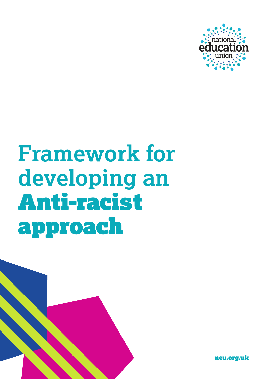

# **Framework for developing an** Anti-racist approach

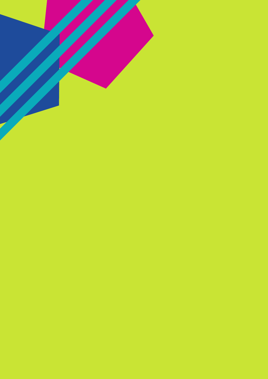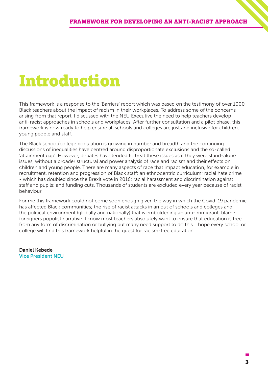### Introduction

This framework is a response to the 'Barriers' report which was based on the testimony of over 1000 Black teachers about the impact of racism in their workplaces. To address some of the concerns arising from that report, I discussed with the NEU Executive the need to help teachers develop anti-racist approaches in schools and workplaces. After further consultation and a pilot phase, this framework is now ready to help ensure all schools and colleges are just and inclusive for children, young people and staff.

The Black school/college population is growing in number and breadth and the continuing discussions of inequalities have centred around disproportionate exclusions and the so-called 'attainment gap'. However, debates have tended to treat these issues as if they were stand-alone issues, without a broader structural and power analysis of race and racism and their effects on children and young people. There are many aspects of race that impact education, for example in recruitment, retention and progression of Black staff; an ethnocentric curriculum; racial hate crime - which has doubled since the Brexit vote in 2016; racial harassment and discrimination against staff and pupils; and funding cuts. Thousands of students are excluded every year because of racist behaviour.

For me this framework could not come soon enough given the way in which the Covid-19 pandemic has affected Black communities; the rise of racist attacks in an out of schools and colleges and the political environment (globally and nationally) that is emboldening an anti-immigrant, blame foreigners populist narrative. I know most teachers absolutely want to ensure that education is free from any form of discrimination or bullying but many need support to do this. I hope every school or college will find this framework helpful in the quest for racism-free education.

Daniel Kebede Vice President NEU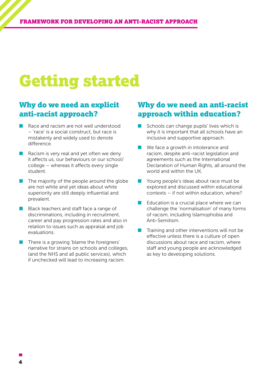### Getting started

#### Why do we need an explicit anti-racist approach?

- Race and racism are not well understood – 'race' is a social construct, but race is mistakenly and widely used to denote difference.
- Racism is very real and yet often we deny it affects us, our behaviours or our school/ college – whereas it affects every single student.
- The majority of the people around the globe are not white and yet ideas about white superiority are still deeply influential and prevalent.
- Black teachers and staff face a range of discriminations, including in recruitment, career and pay progression rates and also in relation to issues such as appraisal and job evaluations.
- There is a growing 'blame the foreigners' narrative for strains on schools and colleges, (and the NHS and all public services), which if unchecked will lead to increasing racism.

#### Why do we need an anti-racist approach within education?

- Schools can change pupils' lives which is why it is important that all schools have an inclusive and supportive approach.
- We face a growth in intolerance and racism, despite anti-racist legislation and agreements such as the International Declaration of Human Rights, all around the world and within the UK.
- Young people's ideas about race must be explored and discussed within educational contexts – if not within education, where?
- Education is a crucial place where we can challenge the 'normalisation' of many forms of racism, including Islamophobia and Anti-Semitism.
- Training and other interventions will not be effective unless there is a culture of open discussions about race and racism, where staff and young people are acknowledged as key to developing solutions.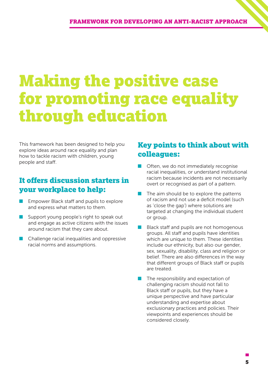### Making the positive case for promoting race equality through education

This framework has been designed to help you explore ideas around race equality and plan how to tackle racism with children, young people and staff.

#### It offers discussion starters in your workplace to help:

- Empower Black staff and pupils to explore and express what matters to them.
- Support young people's right to speak out and engage as active citizens with the issues around racism that they care about.
- Challenge racial inequalities and oppressive racial norms and assumptions.

#### Key points to think about with colleagues:

- Often, we do not immediately recognise racial inequalities, or understand institutional racism because incidents are not necessarily overt or recognised as part of a pattern.
- The aim should be to explore the patterns of racism and not use a deficit model (such as 'close the gap') where solutions are targeted at changing the individual student or group.
- Black staff and pupils are not homogenous groups. All staff and pupils have identities which are unique to them. These identities include our ethnicity, but also our gender, sex, sexuality, disability, class and religion or belief. There are also differences in the way that different groups of Black staff or pupils are treated.
- The responsibility and expectation of challenging racism should not fall to Black staff or pupils, but they have a unique perspective and have particular understanding and expertise about exclusionary practices and policies. Their viewpoints and experiences should be considered closely.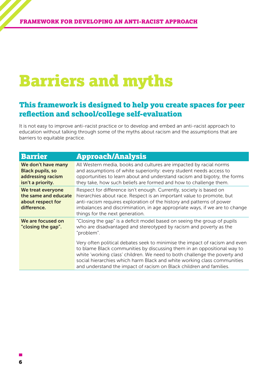# Barriers and myths

#### This framework is designed to help you create spaces for peer reflection and school/college self-evaluation

It is not easy to improve anti-racist practice or to develop and embed an anti-racist approach to education without talking through some of the myths about racism and the assumptions that are barriers to equitable practice.

| <b>Barrier</b>                                                                          | <b>Approach/Analysis</b>                                                                                                                                                                                                                                                                                                                                                                                                                                                                                                                              |
|-----------------------------------------------------------------------------------------|-------------------------------------------------------------------------------------------------------------------------------------------------------------------------------------------------------------------------------------------------------------------------------------------------------------------------------------------------------------------------------------------------------------------------------------------------------------------------------------------------------------------------------------------------------|
| We don't have many<br><b>Black pupils, so</b><br>addressing racism<br>isn't a priority. | All Western media, books and cultures are impacted by racial norms<br>and assumptions of white superiority: every student needs access to<br>opportunities to learn about and understand racism and bigotry, the forms<br>they take, how such beliefs are formed and how to challenge them.                                                                                                                                                                                                                                                           |
| We treat everyone<br>the same and educate<br>about respect for<br>difference.           | Respect for difference isn't enough. Currently, society is based on<br>hierarchies about race. Respect is an important value to promote, but<br>anti-racism requires exploration of the history and patterns of power<br>imbalances and discrimination, in age appropriate ways, if we are to change<br>things for the next generation.                                                                                                                                                                                                               |
| We are focused on<br>"closing the gap".                                                 | "Closing the gap" is a deficit model based on seeing the group of pupils<br>who are disadvantaged and stereotyped by racism and poverty as the<br>"problem".<br>Very often political debates seek to minimise the impact of racism and even<br>to blame Black communities by discussing them in an oppositional way to<br>white 'working class' children. We need to both challenge the poverty and<br>social hierarchies which harm Black and white working class communities<br>and understand the impact of racism on Black children and families. |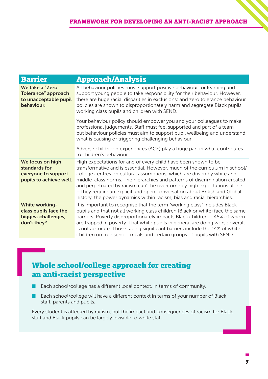| <b>Barrier</b>                                                                       | <b>Approach/Analysis</b>                                                                                                                                                                                                                                                                                                                                                                                                                                                                                                                |
|--------------------------------------------------------------------------------------|-----------------------------------------------------------------------------------------------------------------------------------------------------------------------------------------------------------------------------------------------------------------------------------------------------------------------------------------------------------------------------------------------------------------------------------------------------------------------------------------------------------------------------------------|
| We take a "Zero<br><b>Tolerance" approach</b><br>to unacceptable pupil<br>behaviour. | All behaviour policies must support positive behaviour for learning and<br>support young people to take responsibility for their behaviour. However,<br>there are huge racial disparities in exclusions: and zero tolerance behaviour<br>policies are shown to disproportionately harm and segregate Black pupils,<br>working class pupils and children with SEND.                                                                                                                                                                      |
|                                                                                      | Your behaviour policy should empower you and your colleagues to make<br>professional judgements. Staff must feel supported and part of a team -<br>but behaviour policies must aim to support pupil wellbeing and understand<br>what is causing or triggering challenging behaviour.                                                                                                                                                                                                                                                    |
|                                                                                      | Adverse childhood experiences (ACE) play a huge part in what contributes<br>to children's behaviour.                                                                                                                                                                                                                                                                                                                                                                                                                                    |
| We focus on high<br>standards for<br>everyone to support<br>pupils to achieve well.  | High expectations for and of every child have been shown to be<br>transformative and is essential. However, much of the curriculum in school/<br>college centres on cultural assumptions, which are driven by white and<br>middle-class norms. The hierarchies and patterns of discrimination created<br>and perpetuated by racism can't be overcome by high expectations alone<br>- they require an explicit and open conversation about British and Global<br>history, the power dynamics within racism, bias and racial hierarchies. |
| <b>White working-</b><br>class pupils face the<br>biggest challenges,<br>don't they? | It is important to recognise that the term "working class" includes Black<br>pupils and that not all working class children (Black or white) face the same<br>barriers. Poverty disproportionately impacts Black children – 45% of whom<br>are trapped in poverty. That white pupils in general are doing worse overall<br>is not accurate. Those facing significant barriers include the 14% of white<br>children on free school meals and certain groups of pupils with SEND.                                                         |

### Whole school/college approach for creating an anti-racist perspective

- Each school/college has a different local context, in terms of community.
- Each school/college will have a different context in terms of your number of Black staff, parents and pupils.

Every student is affected by racism, but the impact and consequences of racism for Black staff and Black pupils can be largely invisible to white staff.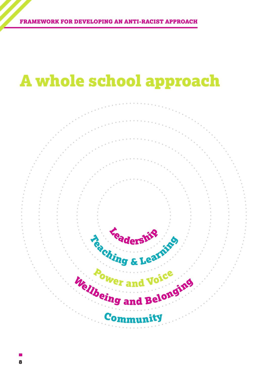### A whole school approach

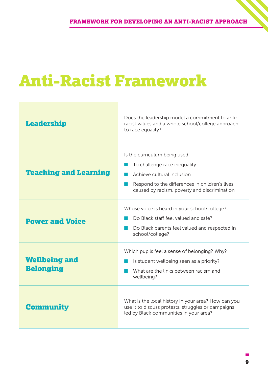### Anti-Racist Framework

| <b>Leadership</b>                        | Does the leadership model a commitment to anti-<br>racist values and a whole school/college approach<br>to race equality?                                                                     |  |  |
|------------------------------------------|-----------------------------------------------------------------------------------------------------------------------------------------------------------------------------------------------|--|--|
| <b>Teaching and Learning</b>             | Is the curriculum being used:<br>To challenge race inequality<br>Achieve cultural inclusion<br>Respond to the differences in children's lives<br>caused by racism, poverty and discrimination |  |  |
| <b>Power and Voice</b>                   | Whose voice is heard in your school/college?<br>Do Black staff feel valued and safe?<br>Do Black parents feel valued and respected in<br>school/college?                                      |  |  |
| <b>Wellbeing and</b><br><b>Belonging</b> | Which pupils feel a sense of belonging? Why?<br>Is student wellbeing seen as a priority?<br>What are the links between racism and<br>wellbeing?                                               |  |  |
| <b>Community</b>                         | What is the local history in your area? How can you<br>use it to discuss protests, struggles or campaigns<br>led by Black communities in your area?                                           |  |  |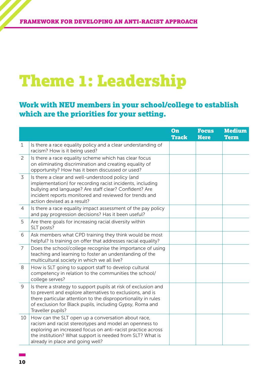# Theme 1: Leadership

#### Work with NEU members in your school/college to establish which are the priorities for your setting.

|                |                                                                                                                                                                                                                                                                               | On<br><b>Track</b> | <b>Focus</b><br><b>Here</b> | <b>Medium</b><br><b>Term</b> |
|----------------|-------------------------------------------------------------------------------------------------------------------------------------------------------------------------------------------------------------------------------------------------------------------------------|--------------------|-----------------------------|------------------------------|
| $\mathbf 1$    | Is there a race equality policy and a clear understanding of<br>racism? How is it being used?                                                                                                                                                                                 |                    |                             |                              |
| $\overline{2}$ | Is there a race equality scheme which has clear focus<br>on eliminating discrimination and creating equality of<br>opportunity? How has it been discussed or used?                                                                                                            |                    |                             |                              |
| 3              | Is there a clear and well-understood policy (and<br>implementation) for recording racist incidents, including<br>bullying and language? Are staff clear? Confident? Are<br>incident reports monitored and reviewed for trends and<br>action devised as a result?              |                    |                             |                              |
| 4              | Is there a race equality impact assessment of the pay policy<br>and pay progression decisions? Has it been useful?                                                                                                                                                            |                    |                             |                              |
| 5              | Are there goals for increasing racial diversity within<br>SLT posts?                                                                                                                                                                                                          |                    |                             |                              |
| 6              | Ask members what CPD training they think would be most<br>helpful? Is training on offer that addresses racial equality?                                                                                                                                                       |                    |                             |                              |
| 7              | Does the school/college recognise the importance of using<br>teaching and learning to foster an understanding of the<br>multicultural society in which we all live?                                                                                                           |                    |                             |                              |
| 8              | How is SLT going to support staff to develop cultural<br>competency in relation to the communities the school/<br>college serves?                                                                                                                                             |                    |                             |                              |
| $\overline{9}$ | Is there a strategy to support pupils at risk of exclusion and<br>to prevent and explore alternatives to exclusions, and is<br>there particular attention to the disproportionality in rules<br>of exclusion for Black pupils, including Gypsy, Roma and<br>Traveller pupils? |                    |                             |                              |
| 10             | How can the SLT open up a conversation about race,<br>racism and racist stereotypes and model an openness to<br>exploring an increased focus on anti-racist practice across<br>the institution? What support is needed from SLT? What is<br>already in place and going well?  |                    |                             |                              |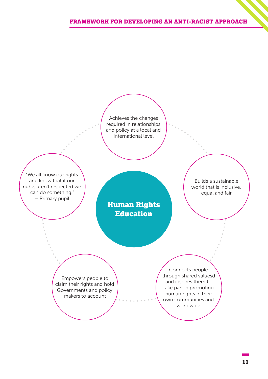#### FRAMEWORK FOR DEVELOPING AN ANTI-RACIST APPROACH

Achieves the changes required in relationships and policy at a local and international level

"We all know our rights and know that if our rights aren't respected we can do something." – Primary pupil

#### Human Rights Education

Builds a sustainable world that is inclusive, equal and fair

Empowers people to claim their rights and hold Governments and policy makers to account

Connects people through shared valuesd and inspires them to take part in promoting human rights in their own communities and worldwide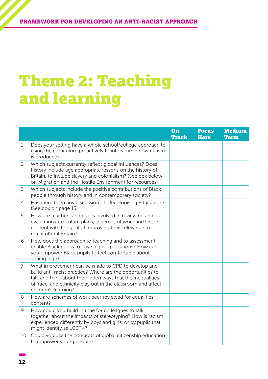### Theme 2: Teaching and learning

|                |                                                                                                                                                                                                                                                                        | On<br><b>Track</b> | <b>Focus</b><br><b>Here</b> | <b>Medium</b><br><b>Term</b> |
|----------------|------------------------------------------------------------------------------------------------------------------------------------------------------------------------------------------------------------------------------------------------------------------------|--------------------|-----------------------------|------------------------------|
| $\mathbf{1}$   | Does your setting have a whole school/college approach to<br>using the curriculum proactively to intervene in how racism<br>is produced?                                                                                                                               |                    |                             |                              |
| 2              | Which subjects currently reflect global influences? Does<br>history include age appropriate lessons on the history of<br>Britain, to include slavery and colonialism? (See box below<br>on Migration and the Hostile Environment for resources)                        |                    |                             |                              |
| 3              | Which subjects include the positive contributions of Black<br>people through history and in contemporary society?                                                                                                                                                      |                    |                             |                              |
| $\overline{4}$ | Has there been any discussion of 'Decolonising Education'?<br>(See box on page 15)                                                                                                                                                                                     |                    |                             |                              |
| 5              | How are teachers and pupils involved in reviewing and<br>evaluating curriculum plans, schemes of work and lesson<br>content with the goal of improving their relevance to<br>multicultural Britain?                                                                    |                    |                             |                              |
| 6              | How does the approach to teaching and to assessment<br>enable Black pupils to have high expectations? How can<br>you empower Black pupils to feel comfortable about<br>aiming high?                                                                                    |                    |                             |                              |
| 7              | What improvement can be made to CPD to develop and<br>build anti-racist practice? Where are the opportunities to<br>talk and think about the hidden ways that the inequalities<br>of 'race' and ethnicity play out in the classroom and affect<br>children's learning? |                    |                             |                              |
| 8              | How are schemes of work peer reviewed for equalities<br>content?                                                                                                                                                                                                       |                    |                             |                              |
| 9              | How could you build in time for colleagues to talk<br>together about the impacts of stereotyping? How is racism<br>experienced differently by boys and girls, or by pupils that<br>might identify as LGBT+?                                                            |                    |                             |                              |
| 10             | Could you use the concepts of global citizenship education<br>to empower young people?                                                                                                                                                                                 |                    |                             |                              |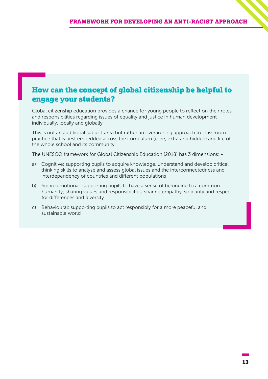#### How can the concept of global citizenship be helpful to engage your students?

Global citizenship education provides a chance for young people to reflect on their roles and responsibilities regarding issues of equality and justice in human development – individually, locally and globally.

This is not an additional subject area but rather an overarching approach to classroom practice that is best embedded across the curriculum (core, extra and hidden) and life of the whole school and its community.

The UNESCO framework for Global Citizenship Education (2018) has 3 dimensions: -

- a) Cognitive: supporting pupils to acquire knowledge, understand and develop critical thinking skills to analyse and assess global issues and the interconnectedness and interdependency of countries and different populations
- b) Socio-emotional: supporting pupils to have a sense of belonging to a common humanity; sharing values and responsibilities, sharing empathy, solidarity and respect for differences and diversity
- c) Behavioural: supporting pupils to act responsibly for a more peaceful and sustainable world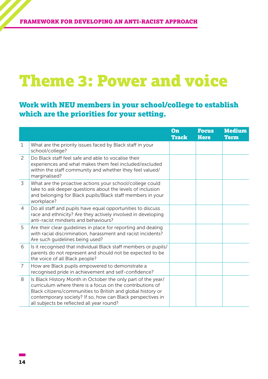### Theme 3: Power and voice

#### Work with NEU members in your school/college to establish which are the priorities for your setting.

|                |                                                                                                                                                                                                                                                                                                     | On<br><b>Track</b> | <b>Focus</b><br><b>Here</b> | <b>Medium</b><br><b>Term</b> |
|----------------|-----------------------------------------------------------------------------------------------------------------------------------------------------------------------------------------------------------------------------------------------------------------------------------------------------|--------------------|-----------------------------|------------------------------|
| $\mathbf{1}$   | What are the priority issues faced by Black staff in your<br>school/college?                                                                                                                                                                                                                        |                    |                             |                              |
| $\overline{2}$ | Do Black staff feel safe and able to vocalise their<br>experiences and what makes them feel included/excluded<br>within the staff community and whether they feel valued/<br>marginalised?                                                                                                          |                    |                             |                              |
| 3              | What are the proactive actions your school/college could<br>take to ask deeper questions about the levels of inclusion<br>and belonging for Black pupils/Black staff members in your<br>workplace?                                                                                                  |                    |                             |                              |
| $\overline{4}$ | Do all staff and pupils have equal opportunities to discuss<br>race and ethnicity? Are they actively involved in developing<br>anti-racist mindsets and behaviours?                                                                                                                                 |                    |                             |                              |
| 5              | Are their clear guidelines in place for reporting and dealing<br>with racial discrimination, harassment and racist incidents?<br>Are such quidelines being used?                                                                                                                                    |                    |                             |                              |
| 6              | Is it recognised that individual Black staff members or pupils/<br>parents do not represent and should not be expected to be<br>the voice of all Black people?                                                                                                                                      |                    |                             |                              |
| $\overline{7}$ | How are Black pupils empowered to demonstrate a<br>recognised pride in achievement and self-confidence?                                                                                                                                                                                             |                    |                             |                              |
| 8              | Is Black History Month in October the only part of the year/<br>curriculum where there is a focus on the contributions of<br>Black citizens/communities to British and global history or<br>contemporary society? If so, how can Black perspectives in<br>all subjects be reflected all year round? |                    |                             |                              |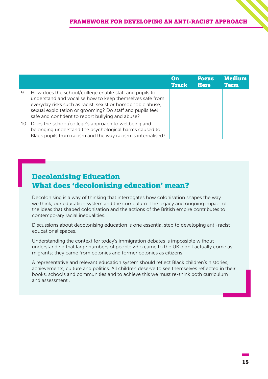|    |                                                                                                                                                                                                                                                                                                   | On<br><b>Track</b> | <b>Focus</b><br><b>Here</b> | <b>Medium</b><br><b>Term</b> |
|----|---------------------------------------------------------------------------------------------------------------------------------------------------------------------------------------------------------------------------------------------------------------------------------------------------|--------------------|-----------------------------|------------------------------|
| 9  | How does the school/college enable staff and pupils to<br>understand and vocalise how to keep themselves safe from<br>everyday risks such as racist, sexist or homophobic abuse,<br>sexual exploitation or grooming? Do staff and pupils feel<br>safe and confident to report bullying and abuse? |                    |                             |                              |
| 10 | Does the school/college's approach to wellbeing and<br>belonging understand the psychological harms caused to<br>Black pupils from racism and the way racism is internalised?                                                                                                                     |                    |                             |                              |

#### Decolonising Education What does 'decolonising education' mean?

Decolonising is a way of thinking that interrogates how colonisation shapes the way we think, our education system and the curriculum. The legacy and ongoing impact of the ideas that shaped colonisation and the actions of the British empire contributes to contemporary racial inequalities.

Discussions about decolonising education is one essential step to developing anti-racist educational spaces.

Understanding the context for today's immigration debates is impossible without understanding that large numbers of people who came to the UK didn't actually come as migrants; they came from colonies and former colonies as citizens.

A representative and relevant education system should reflect Black children's histories, achievements, culture and politics. All children deserve to see themselves reflected in their books, schools and communities and to achieve this we must re-think both curriculum and assessment .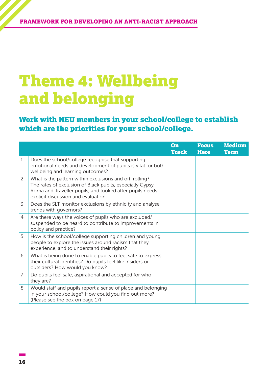### Theme 4: Wellbeing and belonging

Work with NEU members in your school/college to establish which are the priorities for your school/college.

|                |                                                                                                                                                                                                                        | On<br><b>Track</b> | <b>Focus</b><br><b>Here</b> | <b>Medium</b><br><b>Term</b> |
|----------------|------------------------------------------------------------------------------------------------------------------------------------------------------------------------------------------------------------------------|--------------------|-----------------------------|------------------------------|
| $\mathbf{1}$   | Does the school/college recognise that supporting<br>emotional needs and development of pupils is vital for both<br>wellbeing and learning outcomes?                                                                   |                    |                             |                              |
| $\overline{2}$ | What is the pattern within exclusions and off-rolling?<br>The rates of exclusion of Black pupils, especially Gypsy,<br>Roma and Traveller pupils, and looked after pupils needs<br>explicit discussion and evaluation. |                    |                             |                              |
| 3              | Does the SLT monitor exclusions by ethnicity and analyse<br>trends with governors?                                                                                                                                     |                    |                             |                              |
| $\overline{4}$ | Are there ways the voices of pupils who are excluded/<br>suspended to be heard to contribute to improvements in<br>policy and practice?                                                                                |                    |                             |                              |
| 5              | How is the school/college supporting children and young<br>people to explore the issues around racism that they<br>experience, and to understand their rights?                                                         |                    |                             |                              |
| 6              | What is being done to enable pupils to feel safe to express<br>their cultural identities? Do pupils feel like insiders or<br>outsiders? How would you know?                                                            |                    |                             |                              |
| 7              | Do pupils feel safe, aspirational and accepted for who<br>they are?                                                                                                                                                    |                    |                             |                              |
| 8              | Would staff and pupils report a sense of place and belonging<br>in your school/college? How could you find out more?<br>(Please see the box on page 17)                                                                |                    |                             |                              |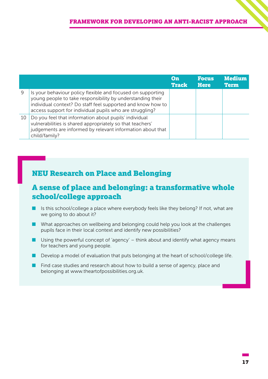|    |                                                                                                                                                                                                                                                      | On<br><b>Track</b> | <b>Focus</b><br><b>Here</b> | <b>Medium</b><br><b>Term</b> |
|----|------------------------------------------------------------------------------------------------------------------------------------------------------------------------------------------------------------------------------------------------------|--------------------|-----------------------------|------------------------------|
| 9  | Is your behaviour policy flexible and focused on supporting<br>young people to take responsibility by understanding their<br>individual context? Do staff feel supported and know how to<br>access support for individual pupils who are struggling? |                    |                             |                              |
| 10 | Do you feel that information about pupils' individual<br>vulnerabilities is shared appropriately so that teachers'<br>judgements are informed by relevant information about that<br>child/family?                                                    |                    |                             |                              |

#### NEU Research on Place and Belonging

#### A sense of place and belonging: a transformative whole school/college approach

- Is this school/college a place where everybody feels like they belong? If not, what are we going to do about it?
- What approaches on wellbeing and belonging could help you look at the challenges pupils face in their local context and identify new possibilities?
- $\blacksquare$  Using the powerful concept of 'agency' think about and identify what agency means for teachers and young people.
- Develop a model of evaluation that puts belonging at the heart of school/college life.
- Find case studies and research about how to build a sense of agency, place and belonging at www.theartofpossibilities.org.uk.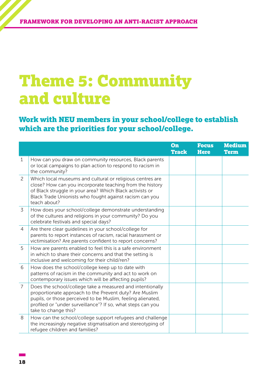### Theme 5: Community and culture

Work with NEU members in your school/college to establish which are the priorities for your school/college.

|                |                                                                                                                                                                                                                                                                           | On<br><b>Track</b> | <b>Focus</b><br><b>Here</b> | <b>Medium</b><br><b>Term</b> |
|----------------|---------------------------------------------------------------------------------------------------------------------------------------------------------------------------------------------------------------------------------------------------------------------------|--------------------|-----------------------------|------------------------------|
| $\mathbf{1}$   | How can you draw on community resources, Black parents<br>or local campaigns to plan action to respond to racism in<br>the community?                                                                                                                                     |                    |                             |                              |
| 2              | Which local museums and cultural or religious centres are<br>close? How can you incorporate teaching from the history<br>of Black struggle in your area? Which Black activists or<br>Black Trade Unionists who fought against racism can you<br>teach about?              |                    |                             |                              |
| 3              | How does your school/college demonstrate understanding<br>of the cultures and religions in your community? Do you<br>celebrate festivals and special days?                                                                                                                |                    |                             |                              |
| $\overline{4}$ | Are there clear guidelines in your school/college for<br>parents to report instances of racism, racial harassment or<br>victimisation? Are parents confident to report concerns?                                                                                          |                    |                             |                              |
| 5              | How are parents enabled to feel this is a safe environment<br>in which to share their concerns and that the setting is<br>inclusive and welcoming for their child/ren?                                                                                                    |                    |                             |                              |
| 6              | How does the school/college keep up to date with<br>patterns of racism in the community and act to work on<br>contemporary issues which will be affecting pupils?                                                                                                         |                    |                             |                              |
| 7              | Does the school/college take a measured and intentionally<br>proportionate approach to the Prevent duty? Are Muslim<br>pupils, or those perceived to be Muslim, feeling alienated,<br>profiled or "under surveillance"? If so, what steps can you<br>take to change this? |                    |                             |                              |
| 8              | How can the school/college support refugees and challenge<br>the increasingly negative stigmatisation and stereotyping of<br>refugee children and families?                                                                                                               |                    |                             |                              |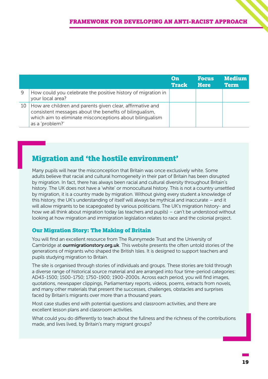|    |                                                                                                                                                                                                     | On<br><b>Track</b> | <b>Focus</b><br><b>Here</b> | <b>Medium</b><br><b>Term</b> |
|----|-----------------------------------------------------------------------------------------------------------------------------------------------------------------------------------------------------|--------------------|-----------------------------|------------------------------|
| 9  | How could you celebrate the positive history of migration in<br>your local area?                                                                                                                    |                    |                             |                              |
| 10 | How are children and parents given clear, affirmative and<br>consistent messages about the benefits of bilingualism,<br>which aim to eliminate misconceptions about bilingualism<br>as a 'problem?' |                    |                             |                              |

#### Migration and 'the hostile environment'

Many pupils will hear the misconception that Britain was once exclusively white. Some adults believe that racial and cultural homogeneity in their part of Britain has been disrupted by migration. In fact, there has always been racial and cultural diversity throughout Britain's history. The UK does not have a 'white' or monocultural history. This is not a country unsettled by migration, it is a country made by migration. Without giving every student a knowledge of this history, the UK's understanding of itself will always be mythical and inaccurate – and it will allow migrants to be scapegoated by various politicians. The UK's migration history- and how we all think about migration today (as teachers and pupils) – can't be understood without looking at how migration and immigration legislation relates to race and the colonial project.

#### Our Migration Story: The Making of Britain

You will find an excellent resource from The Runnymede Trust and the University of Cambridge at **ourmigrationstory.org.uk**. This website presents the often untold stories of the generations of migrants who shaped the British Isles. It is designed to support teachers and pupils studying migration to Britain.

The site is organised through stories of individuals and groups. These stories are told through a diverse range of historical source material and are arranged into four time-period categories: AD43-1500; 1500-1750; 1750-1900; 1900-2000s. Across each period, you will find images, quotations, newspaper clippings, Parliamentary reports, videos, poems, extracts from novels, and many other materials that present the successes, challenges, obstacles and surprises faced by Britain's migrants over more than a thousand years.

Most case studies end with potential questions and classroom activities, and there are excellent lesson plans and classroom activities.

What could you do differently to teach about the fullness and the richness of the contributions made, and lives lived, by Britain's many migrant groups?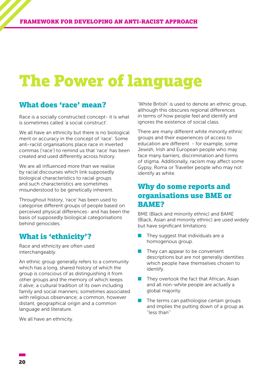# The Power of language

#### What does 'race' mean?

Race is a socially constructed concept- it is what is sometimes called 'a social construct'.

We all have an ethnicity but there is no biological merit or accuracy in the concept of 'race'. Some anti-racist organisations place race in inverted commas ('race') to remind us that 'race' has been created and used differently across history.

We are all influenced more than we realise by racial discourses which link supposedly biological characteristics to racial groups and such characteristics are sometimes misunderstood to be genetically inherent.

Throughout history, 'race' has been used to categorise different groups of people based on perceived physical differences- and has been the basis of supposedly biological categorisations behind genocides.

#### What is 'ethnicity'?

Race and ethnicity are often used interchangeably.

An ethnic group generally refers to a community which has a long, shared history of which the group is conscious of as distinguishing it from other groups and the memory of which keeps it alive; a cultural tradition of its own including family and social manners; sometimes associated with religious observance; a common, however distant, geographical origin and a common language and literature.

We all have an ethnicity.

'White British' is used to denote an ethnic group, although this obscures regional differences in terms of how people feel and identify and ignores the existence of social class.

There are many different white minority ethnic groups and their experiences of access to education are different - for example, some Jewish, Irish and European people who may face many barriers, discrimination and forms of stigma. Additionally, racism may affect some Gypsy, Roma or Traveller people who may not identify as white.

#### Why do some reports and organisations use BME or BAME?

BME (Black and minority ethnic) and BAME (Black, Asian and minority ethnic) are used widely but have significant limitations:

- They suggest that individuals are a homogenous group.
- They can appear to be convenient descriptions but are not generally identities which people have themselves chosen to identify.
- They overlook the fact that African, Asian and all non-white people are actually a global majority.
- The terms can pathologise certain groups and implies the putting down of a group as ''less than''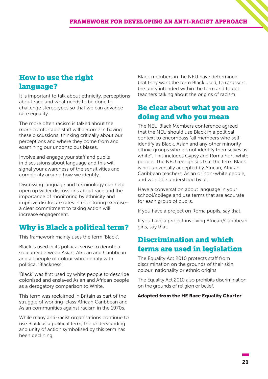### How to use the right language?

It is important to talk about ethnicity, perceptions about race and what needs to be done to challenge stereotypes so that we can advance race equality.

The more often racism is talked about the more comfortable staff will become in having these discussions, thinking critically about our perceptions and where they come from and examining our unconscious biases.

Involve and engage your staff and pupils in discussions about language and this will signal your awareness of the sensitivities and complexity around how we identify.

Discussing language and terminology can help open up wider discussions about race and the importance of monitoring by ethnicity and improve disclosure rates in monitoring exercisea clear commitment to taking action will increase engagement.

### Why is Black a political term?

This framework mainly uses the term 'Black'.

Black is used in its political sense to denote a solidarity between Asian, African and Caribbean and all people of colour who identify with political 'Blackness'.

'Black' was first used by white people to describe colonised and enslaved Asian and African people as a derogatory comparison to White.

This term was reclaimed in Britain as part of the struggle of working-class African Caribbean and Asian communities against racism in the 1970s.

While many anti-racist organisations continue to use Black as a political term, the understanding and unity of action symbolised by this term has been declining.

Black members in the NEU have determined that they want the term Black used, to re-assert the unity intended within the term and to get teachers talking about the origins of racism.

#### Be clear about what you are doing and who you mean

The NEU Black Members conference agreed that the NEU should use Black in a political context to encompass "all members who selfidentify as Black, Asian and any other minority ethnic groups who do not identify themselves as white". This includes Gypsy and Roma non-white people. The NEU recognises that the term Black is not universally accepted by African, African Caribbean teachers, Asian or non-white people, and won't be understood by all.

Have a conversation about language in your school/college and use terms that are accurate for each group of pupils.

If you have a project on Roma pupils, say that.

If you have a project involving African/Caribbean girls, say that.

#### Discrimination and which terms are used in legislation

The Equality Act 2010 protects staff from discrimination on the grounds of their skin colour, nationality or ethnic origins.

The Equality Act 2010 also prohibits discrimination on the grounds of religion or belief.

#### Adapted from the HE Race Equality Charter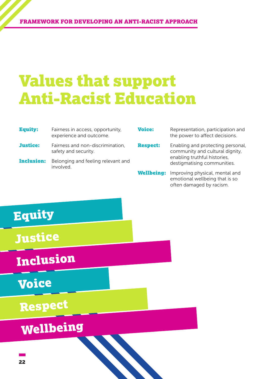### Values that support Anti-Racist Education

| <b>Equity:</b>    | Fairness in access, opportunity,<br>experience and outcome. | <b>Voice:</b>     | Representation, participation and<br>the power to affect decisions.                          |  |
|-------------------|-------------------------------------------------------------|-------------------|----------------------------------------------------------------------------------------------|--|
| <b>Justice:</b>   | Fairness and non-discrimination,<br>safety and security.    | <b>Respect:</b>   | Enabling and protecting personal,<br>community and cultural dignity,                         |  |
| <b>Inclusion:</b> | Belonging and feeling relevant and<br>involved.             |                   | enabling truthful histories,<br>destigmatising communities.                                  |  |
|                   |                                                             | <b>Wellbeing:</b> | Improving physical, mental and<br>emotional wellbeing that is so<br>often damaged by racism. |  |

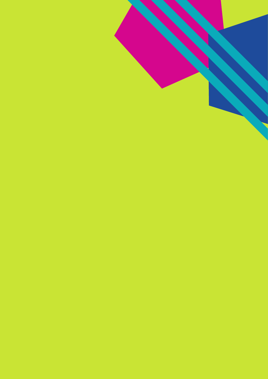